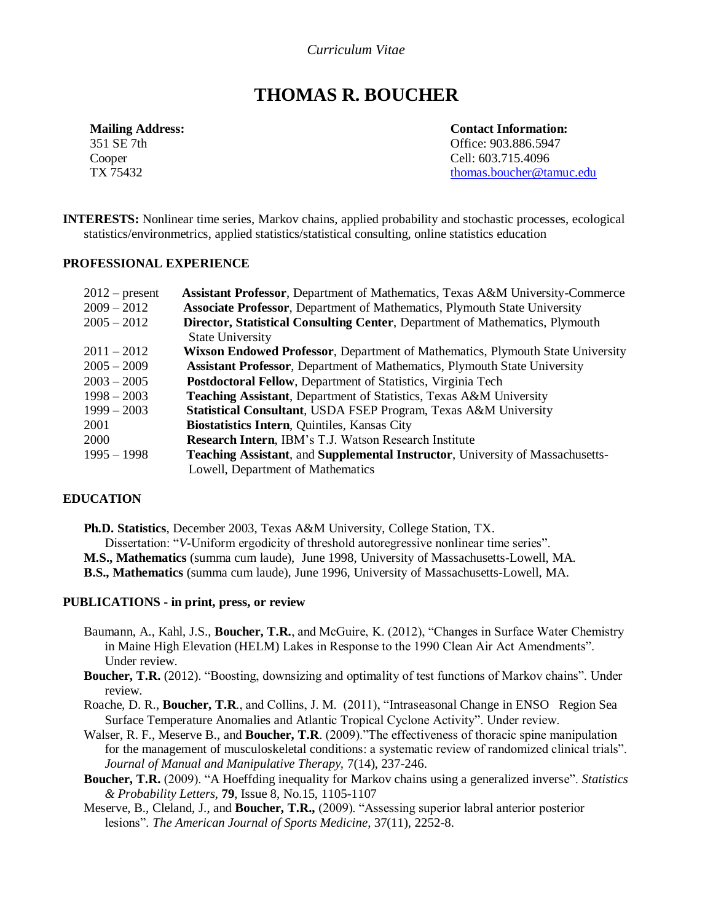# *Curriculum Vitae*

# **THOMAS R. BOUCHER**

**Mailing Address:** 351 SE 7th Cooper TX 75432

**Contact Information:** Office: 903.886.5947 Cell: 603.715.4096 [thomas.boucher@tamuc.edu](mailto:thomas.boucher@tamuc.edu)

**INTERESTS:** Nonlinear time series*,* Markov chains*,* applied probability and stochastic processes, ecological statistics/environmetrics, applied statistics/statistical consulting, online statistics education

#### **PROFESSIONAL EXPERIENCE**

| $2012$ – present | <b>Assistant Professor</b> , Department of Mathematics, Texas A&M University-Commerce |
|------------------|---------------------------------------------------------------------------------------|
| $2009 - 2012$    | <b>Associate Professor</b> , Department of Mathematics, Plymouth State University     |
| $2005 - 2012$    | Director, Statistical Consulting Center, Department of Mathematics, Plymouth          |
|                  | <b>State University</b>                                                               |
| $2011 - 2012$    | <b>Wixson Endowed Professor, Department of Mathematics, Plymouth State University</b> |
| $2005 - 2009$    | <b>Assistant Professor, Department of Mathematics, Plymouth State University</b>      |
| $2003 - 2005$    | <b>Postdoctoral Fellow, Department of Statistics, Virginia Tech</b>                   |
| $1998 - 2003$    | <b>Teaching Assistant, Department of Statistics, Texas A&amp;M University</b>         |
| $1999 - 2003$    | Statistical Consultant, USDA FSEP Program, Texas A&M University                       |
| 2001             | Biostatistics Intern, Quintiles, Kansas City                                          |
| <b>2000</b>      | <b>Research Intern, IBM's T.J. Watson Research Institute</b>                          |
| $1995 - 1998$    | <b>Teaching Assistant, and Supplemental Instructor, University of Massachusetts-</b>  |
|                  | Lowell, Department of Mathematics                                                     |

# **EDUCATION**

 **Ph.D. Statistics**, December 2003, Texas A&M University, College Station, TX. Dissertation: "*V*-Uniform ergodicity of threshold autoregressive nonlinear time series". **M.S., Mathematics** (summa cum laude), June 1998, University of Massachusetts-Lowell, MA.

**B.S., Mathematics** (summa cum laude), June 1996, University of Massachusetts-Lowell, MA.

## **PUBLICATIONS - in print, press, or review**

- Baumann, A., Kahl, J.S., **Boucher, T.R.**, and McGuire, K. (2012), "Changes in Surface Water Chemistry in Maine High Elevation (HELM) Lakes in Response to the 1990 Clean Air Act Amendments". Under review.
- **Boucher, T.R.** (2012). "Boosting, downsizing and optimality of test functions of Markov chains". Under review.
- Roache, D. R., **Boucher, T.R**., and Collins, J. M. (2011), "Intraseasonal Change in ENSO Region Sea Surface Temperature Anomalies and Atlantic Tropical Cyclone Activity". Under review.
- Walser, R. F., Meserve B., and **Boucher, T.R**. (2009)."The effectiveness of thoracic spine manipulation for the management of musculoskeletal conditions: a systematic review of randomized clinical trials". *Journal of Manual and Manipulative Therapy,* 7(14), 237-246.
- **Boucher, T.R.** (2009). "A Hoeffding inequality for Markov chains using a generalized inverse". *Statistics & Probability Letters,* **79**, Issue 8, No.15, 1105-1107
- Meserve, B., Cleland, J., and **Boucher, T.R.,** (2009). "Assessing superior labral anterior posterior lesions". *The American Journal of Sports Medicine*, 37(11), 2252-8.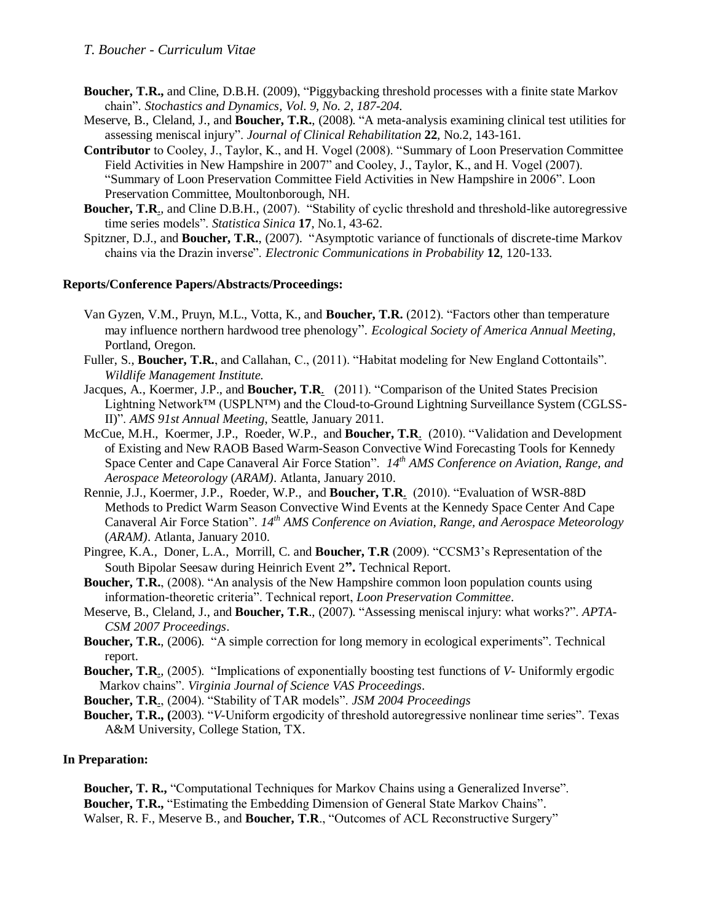- **Boucher, T.R.,** and Cline, D.B.H. (2009), "Piggybacking threshold processes with a finite state Markov chain". *Stochastics and Dynamics, Vol. 9, No. 2, 187-204.*
- Meserve, B., Cleland, J., and **Boucher, T.R.**, (2008). "A meta-analysis examining clinical test utilities for assessing meniscal injury". *Journal of Clinical Rehabilitation* **22***,* No.2, 143-161.
- **Contributor** to Cooley, J., Taylor, K., and H. Vogel (2008). "Summary of Loon Preservation Committee Field Activities in New Hampshire in 2007" and Cooley, J., Taylor, K., and H. Vogel (2007). "Summary of Loon Preservation Committee Field Activities in New Hampshire in 2006". Loon Preservation Committee, Moultonborough, NH.
- **Boucher, T.R.**, and Cline D.B.H., (2007). "Stability of cyclic threshold and threshold-like autoregressive time series models". *Statistica Sinica* **17**, No.1, 43-62.
- Spitzner, D.J., and **Boucher, T.R.**, (2007). "Asymptotic variance of functionals of discrete-time Markov chains via the Drazin inverse". *Electronic Communications in Probability* **12**, 120-133.

#### **Reports/Conference Papers/Abstracts/Proceedings:**

- Van Gyzen, V.M., Pruyn, M.L., Votta, K., and **Boucher, T.R.** (2012). "Factors other than temperature may influence northern hardwood tree phenology". *Ecological Society of America Annual Meeting*, Portland, Oregon.
- Fuller, S., **Boucher, T.R.**, and Callahan, C., (2011). "Habitat modeling for New England Cottontails". *Wildlife Management Institute.*
- Jacques, A., Koermer, J.P., and **Boucher, T.R**. (2011). "Comparison of the United States Precision Lightning Network™ (USPLN™) and the Cloud-to-Ground Lightning Surveillance System (CGLSS-II)". *AMS 91st Annual Meeting*, Seattle, January 2011.
- McCue, M.H., Koermer, J.P., Roeder, W.P., and **Boucher, T.R**. (2010). "Validation and Development of Existing and New RAOB Based Warm-Season Convective Wind Forecasting Tools for Kennedy Space Center and Cape Canaveral Air Force Station". *14th AMS Conference on Aviation, Range, and Aerospace Meteorology* (*ARAM)*. Atlanta, January 2010.
- Rennie, J.J., Koermer, J.P., Roeder, W.P., and **Boucher, T.R**. (2010). "Evaluation of WSR-88D Methods to Predict Warm Season Convective Wind Events at the Kennedy Space Center And Cape Canaveral Air Force Station". *14th AMS Conference on Aviation, Range, and Aerospace Meteorology* (*ARAM)*. Atlanta, January 2010.
- Pingree, K.A., Doner, L.A., Morrill, C. and **Boucher, T.R** (2009). "CCSM3's Representation of the South Bipolar Seesaw during Heinrich Event 2**".** Technical Report.
- **Boucher, T.R.**, (2008). "An analysis of the New Hampshire common loon population counts using information-theoretic criteria". Technical report, *Loon Preservation Committee*.
- Meserve, B., Cleland, J., and **Boucher, T.R**., (2007). "Assessing meniscal injury: what works?". *APTA-CSM 2007 Proceedings*.
- **Boucher, T.R.**, (2006). "A simple correction for long memory in ecological experiments". Technical report.
- **Boucher, T.R**., (2005). "Implications of exponentially boosting test functions of *V-* Uniformly ergodic Markov chains". *Virginia Journal of Science VAS Proceedings*.
- **Boucher, T.R**., (2004). "Stability of TAR models". *JSM 2004 Proceedings*
- **Boucher, T.R., (**2003). "*V*-Uniform ergodicity of threshold autoregressive nonlinear time series". Texas A&M University, College Station, TX.

## **In Preparation:**

**Boucher, T. R., "Computational Techniques for Markov Chains using a Generalized Inverse". Boucher, T.R.,** "Estimating the Embedding Dimension of General State Markov Chains". Walser, R. F., Meserve B., and **Boucher, T.R**., "Outcomes of ACL Reconstructive Surgery"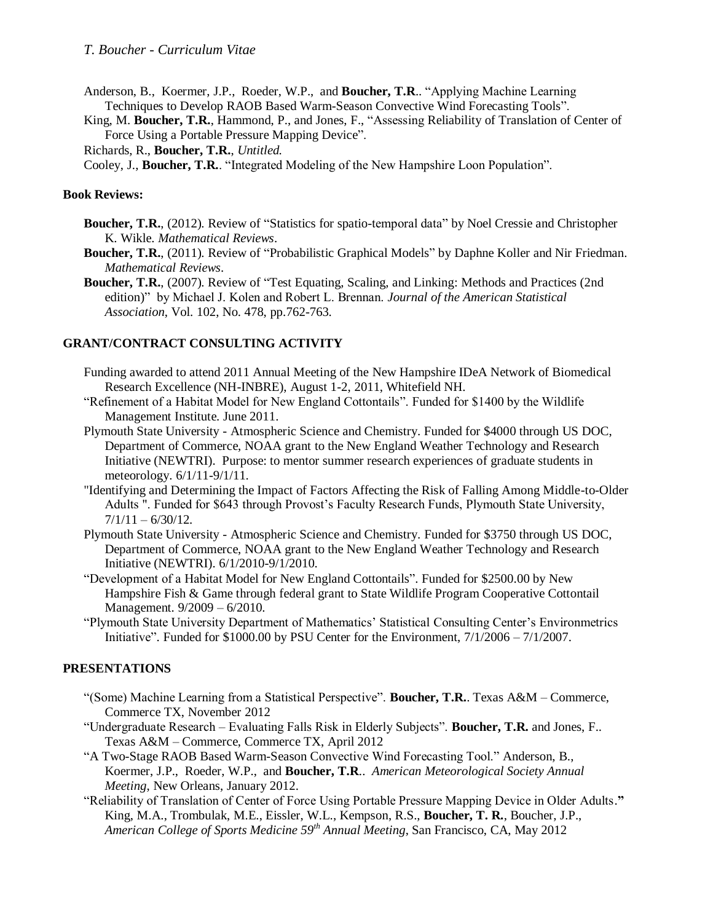Anderson, B., Koermer, J.P., Roeder, W.P., and **Boucher, T.R**.. "Applying Machine Learning Techniques to Develop RAOB Based Warm-Season Convective Wind Forecasting Tools".

King, M. **Boucher, T.R.**, Hammond, P., and Jones, F., "Assessing Reliability of Translation of Center of Force Using a Portable Pressure Mapping Device".

Richards, R., **Boucher, T.R.**, *Untitled.*

Cooley, J., **Boucher, T.R.**. "Integrated Modeling of the New Hampshire Loon Population".

#### **Book Reviews:**

- **Boucher, T.R.**, (2012). Review of "Statistics for spatio-temporal data" by Noel Cressie and Christopher K. Wikle. *Mathematical Reviews*.
- **Boucher, T.R.**, (2011). Review of "Probabilistic Graphical Models" by Daphne Koller and Nir Friedman. *Mathematical Reviews*.
- **Boucher, T.R.**, (2007). Review of "Test Equating, Scaling, and Linking: Methods and Practices (2nd edition)" by Michael J. Kolen and Robert L. Brennan. *Journal of the American Statistical Association*, Vol. 102, No. 478, pp.762-763.

## **GRANT/CONTRACT CONSULTING ACTIVITY**

- Funding awarded to attend 2011 Annual Meeting of the New Hampshire IDeA Network of Biomedical Research Excellence (NH-INBRE), August 1-2, 2011, Whitefield NH.
- "Refinement of a Habitat Model for New England Cottontails". Funded for \$1400 by the Wildlife Management Institute. June 2011.
- Plymouth State University Atmospheric Science and Chemistry. Funded for \$4000 through US DOC, Department of Commerce, NOAA grant to the New England Weather Technology and Research Initiative (NEWTRI). Purpose: to mentor summer research experiences of graduate students in meteorology. 6/1/11-9/1/11.
- "Identifying and Determining the Impact of Factors Affecting the Risk of Falling Among Middle-to-Older Adults ". Funded for \$643 through Provost's Faculty Research Funds, Plymouth State University,  $7/1/11 - 6/30/12$ .
- Plymouth State University Atmospheric Science and Chemistry. Funded for \$3750 through US DOC, Department of Commerce, NOAA grant to the New England Weather Technology and Research Initiative (NEWTRI). 6/1/2010-9/1/2010.
- "Development of a Habitat Model for New England Cottontails". Funded for \$2500.00 by New Hampshire Fish & Game through federal grant to State Wildlife Program Cooperative Cottontail Management. 9/2009 – 6/2010.
- "Plymouth State University Department of Mathematics' Statistical Consulting Center's Environmetrics Initiative". Funded for \$1000.00 by PSU Center for the Environment, 7/1/2006 – 7/1/2007.

## **PRESENTATIONS**

- "(Some) Machine Learning from a Statistical Perspective". **Boucher, T.R.**. Texas A&M Commerce, Commerce TX, November 2012
- "Undergraduate Research Evaluating Falls Risk in Elderly Subjects". **Boucher, T.R.** and Jones, F.. Texas A&M – Commerce, Commerce TX, April 2012
- "A Two-Stage RAOB Based Warm-Season Convective Wind Forecasting Tool." Anderson, B., Koermer, J.P., Roeder, W.P., and **Boucher, T.R**.. *American Meteorological Society Annual Meeting*, New Orleans, January 2012.
- "Reliability of Translation of Center of Force Using Portable Pressure Mapping Device in Older Adults.**"**  King, M.A., Trombulak, M.E., Eissler, W.L., Kempson, R.S., **Boucher, T. R.**, Boucher, J.P., *American College of Sports Medicine 59th Annual Meeting*, San Francisco, CA, May 2012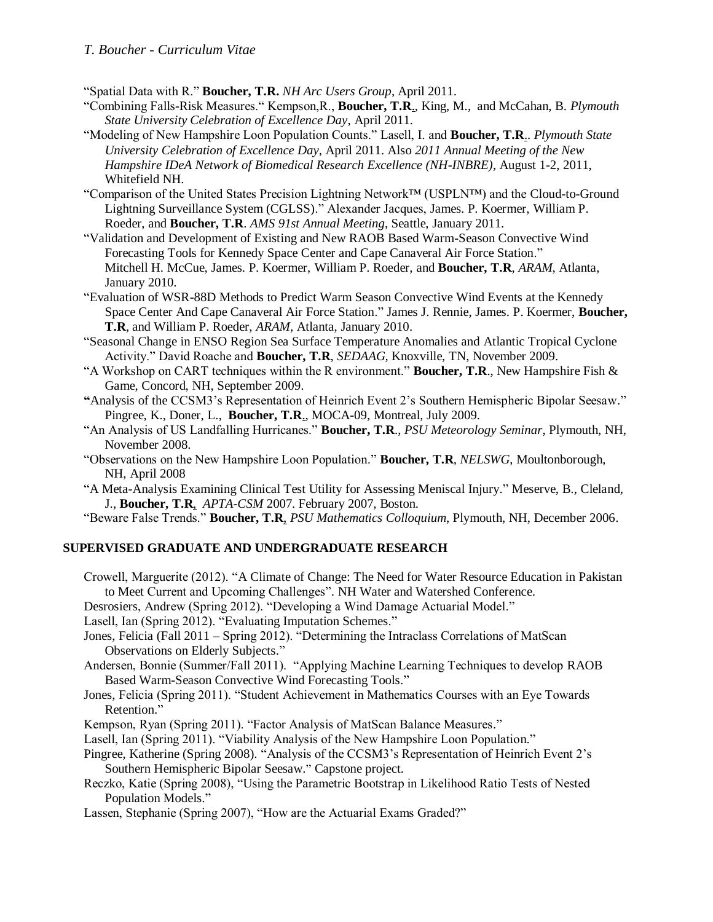# *T. Boucher - Curriculum Vitae*

"Spatial Data with R." **Boucher, T.R.** *NH Arc Users Group*, April 2011.

- "Combining Falls-Risk Measures." Kempson,R., **Boucher, T.R**., King, M., and McCahan, B. *Plymouth State University Celebration of Excellence Day*, April 2011.
- "Modeling of New Hampshire Loon Population Counts." Lasell, I. and **Boucher, T.R**.. *Plymouth State University Celebration of Excellence Day*, April 2011. Also *2011 Annual Meeting of the New Hampshire IDeA Network of Biomedical Research Excellence (NH-INBRE)*, August 1-2, 2011, Whitefield NH.
- "Comparison of the United States Precision Lightning Network™ (USPLN™) and the Cloud-to-Ground Lightning Surveillance System (CGLSS)." Alexander Jacques, James. P. Koermer, William P. Roeder, and **Boucher, T.R**. *AMS 91st Annual Meeting*, Seattle, January 2011.
- "Validation and Development of Existing and New RAOB Based Warm-Season Convective Wind Forecasting Tools for Kennedy Space Center and Cape Canaveral Air Force Station." Mitchell H. McCue, James. P. Koermer, William P. Roeder, and **Boucher, T.R**, *ARAM*, Atlanta, January 2010.
- "Evaluation of WSR-88D Methods to Predict Warm Season Convective Wind Events at the Kennedy Space Center And Cape Canaveral Air Force Station." James J. Rennie, James. P. Koermer, **Boucher, T.R**, and William P. Roeder, *ARAM*, Atlanta, January 2010.
- "Seasonal Change in ENSO Region Sea Surface Temperature Anomalies and Atlantic Tropical Cyclone Activity." David Roache and **Boucher, T.R**, *SEDAAG*, Knoxville, TN, November 2009.
- "A Workshop on CART techniques within the R environment." **Boucher, T.R**., New Hampshire Fish & Game, Concord, NH, September 2009.
- **"**Analysis of the CCSM3's Representation of Heinrich Event 2's Southern Hemispheric Bipolar Seesaw." Pingree, K., Doner, L., **Boucher, T.R**., MOCA-09, Montreal, July 2009.
- "An Analysis of US Landfalling Hurricanes." **Boucher, T.R**., *PSU Meteorology Seminar*, Plymouth, NH, November 2008.
- "Observations on the New Hampshire Loon Population." **Boucher, T.R***, NELSWG*, Moultonborough, NH, April 2008
- "A Meta-Analysis Examining Clinical Test Utility for Assessing Meniscal Injury." Meserve, B., Cleland, J., **Boucher, T.R**, *APTA-CSM* 2007. February 2007, Boston.

"Beware False Trends." **Boucher, T.R**, *PSU Mathematics Colloquium*, Plymouth, NH, December 2006.

## **SUPERVISED GRADUATE AND UNDERGRADUATE RESEARCH**

Crowell, Marguerite (2012). "A Climate of Change: The Need for Water Resource Education in Pakistan to Meet Current and Upcoming Challenges". NH Water and Watershed Conference.

Desrosiers, Andrew (Spring 2012). "Developing a Wind Damage Actuarial Model."

- Lasell, Ian (Spring 2012). "Evaluating Imputation Schemes."
- Jones, Felicia (Fall 2011 Spring 2012). "Determining the Intraclass Correlations of MatScan Observations on Elderly Subjects."
- Andersen, Bonnie (Summer/Fall 2011). "Applying Machine Learning Techniques to develop RAOB Based Warm-Season Convective Wind Forecasting Tools."
- Jones, Felicia (Spring 2011). "Student Achievement in Mathematics Courses with an Eye Towards Retention."
- Kempson, Ryan (Spring 2011). "Factor Analysis of MatScan Balance Measures."
- Lasell, Ian (Spring 2011). "Viability Analysis of the New Hampshire Loon Population."
- Pingree, Katherine (Spring 2008). "Analysis of the CCSM3's Representation of Heinrich Event 2's Southern Hemispheric Bipolar Seesaw." Capstone project.
- Reczko, Katie (Spring 2008), "Using the Parametric Bootstrap in Likelihood Ratio Tests of Nested Population Models."

Lassen, Stephanie (Spring 2007), "How are the Actuarial Exams Graded?"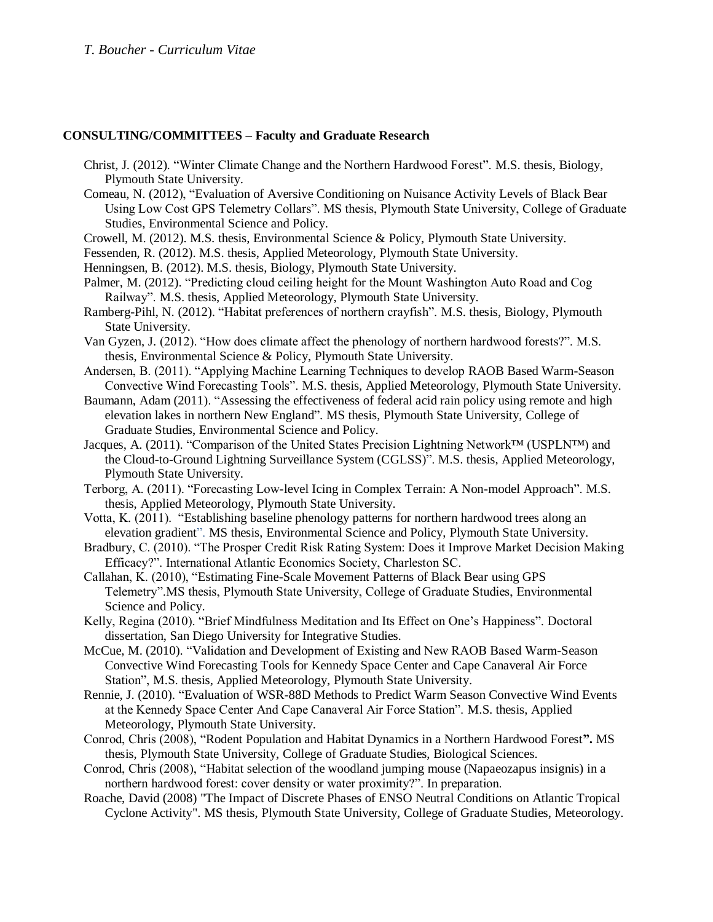## **CONSULTING/COMMITTEES – Faculty and Graduate Research**

- Christ, J. (2012). "Winter Climate Change and the Northern Hardwood Forest". M.S. thesis, Biology, Plymouth State University.
- Comeau, N. (2012), "Evaluation of Aversive Conditioning on Nuisance Activity Levels of Black Bear Using Low Cost GPS Telemetry Collars". MS thesis, Plymouth State University, College of Graduate Studies, Environmental Science and Policy.
- Crowell, M. (2012). M.S. thesis, Environmental Science & Policy, Plymouth State University.
- Fessenden, R. (2012). M.S. thesis, Applied Meteorology, Plymouth State University.
- Henningsen, B. (2012). M.S. thesis, Biology, Plymouth State University.
- Palmer, M. (2012). "Predicting cloud ceiling height for the Mount Washington Auto Road and Cog Railway". M.S. thesis, Applied Meteorology, Plymouth State University.
- Ramberg-Pihl, N. (2012). "Habitat preferences of northern crayfish". M.S. thesis, Biology, Plymouth State University.
- Van Gyzen, J. (2012). "How does climate affect the phenology of northern hardwood forests?". M.S. thesis, Environmental Science & Policy, Plymouth State University.
- Andersen, B. (2011). "Applying Machine Learning Techniques to develop RAOB Based Warm-Season Convective Wind Forecasting Tools". M.S. thesis, Applied Meteorology, Plymouth State University.
- Baumann, Adam (2011). "Assessing the effectiveness of federal acid rain policy using remote and high elevation lakes in northern New England". MS thesis, Plymouth State University, College of Graduate Studies, Environmental Science and Policy.
- Jacques, A. (2011). "Comparison of the United States Precision Lightning Network™ (USPLN™) and the Cloud-to-Ground Lightning Surveillance System (CGLSS)". M.S. thesis, Applied Meteorology, Plymouth State University.
- Terborg, A. (2011). "Forecasting Low-level Icing in Complex Terrain: A Non-model Approach". M.S. thesis, Applied Meteorology, Plymouth State University.
- Votta, K. (2011). "Establishing baseline phenology patterns for northern hardwood trees along an elevation gradient". MS thesis, Environmental Science and Policy, Plymouth State University.
- Bradbury, C. (2010). "The Prosper Credit Risk Rating System: Does it Improve Market Decision Making Efficacy?". International Atlantic Economics Society, Charleston SC.
- Callahan, K. (2010), "Estimating Fine-Scale Movement Patterns of Black Bear using GPS Telemetry".MS thesis, Plymouth State University, College of Graduate Studies, Environmental Science and Policy.
- Kelly, Regina (2010). "Brief Mindfulness Meditation and Its Effect on One's Happiness". Doctoral dissertation, San Diego University for Integrative Studies.
- McCue, M. (2010). "Validation and Development of Existing and New RAOB Based Warm-Season Convective Wind Forecasting Tools for Kennedy Space Center and Cape Canaveral Air Force Station", M.S. thesis, Applied Meteorology, Plymouth State University.
- Rennie, J. (2010). "Evaluation of WSR-88D Methods to Predict Warm Season Convective Wind Events at the Kennedy Space Center And Cape Canaveral Air Force Station". M.S. thesis, Applied Meteorology, Plymouth State University.
- Conrod, Chris (2008), "Rodent Population and Habitat Dynamics in a Northern Hardwood Forest**".** MS thesis, Plymouth State University, College of Graduate Studies, Biological Sciences.
- Conrod, Chris (2008), "Habitat selection of the woodland jumping mouse (Napaeozapus insignis) in a northern hardwood forest: cover density or water proximity?". In preparation.
- Roache, David (2008) "The Impact of Discrete Phases of ENSO Neutral Conditions on Atlantic Tropical Cyclone Activity". MS thesis, Plymouth State University, College of Graduate Studies, Meteorology.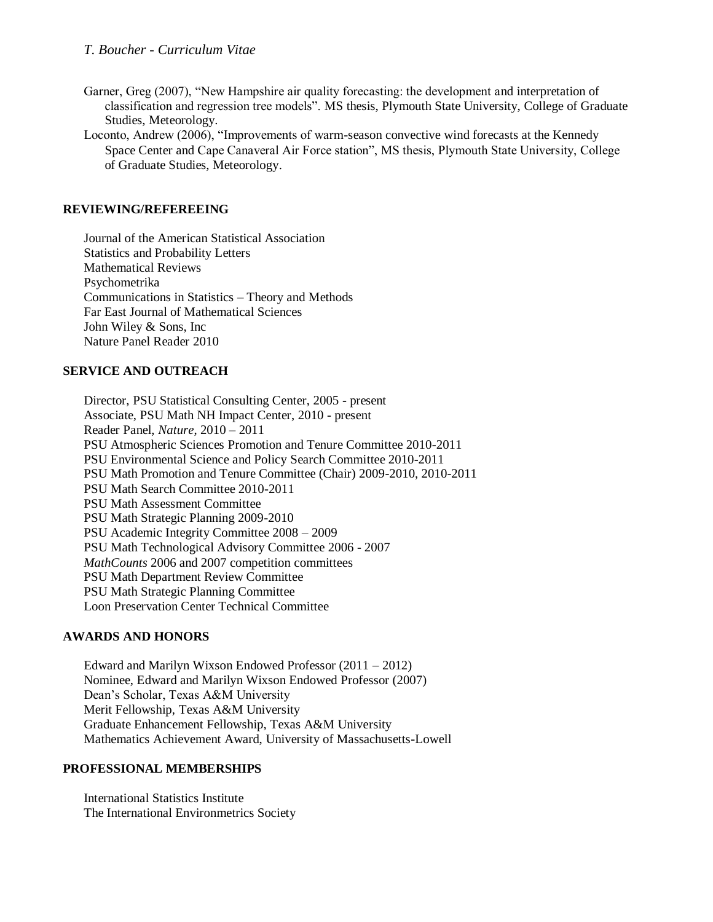- Garner, Greg (2007), "New Hampshire air quality forecasting: the development and interpretation of classification and regression tree models". MS thesis, Plymouth State University, College of Graduate Studies, Meteorology.
- Loconto, Andrew (2006), "Improvements of warm-season convective wind forecasts at the Kennedy Space Center and Cape Canaveral Air Force station", MS thesis, Plymouth State University, College of Graduate Studies, Meteorology.

## **REVIEWING/REFEREEING**

Journal of the American Statistical Association Statistics and Probability Letters Mathematical Reviews Psychometrika Communications in Statistics – Theory and Methods Far East Journal of Mathematical Sciences John Wiley & Sons, Inc Nature Panel Reader 2010

## **SERVICE AND OUTREACH**

Director, PSU Statistical Consulting Center, 2005 - present Associate, PSU Math NH Impact Center, 2010 - present Reader Panel, *Nature*, 2010 – 2011 PSU Atmospheric Sciences Promotion and Tenure Committee 2010-2011 PSU Environmental Science and Policy Search Committee 2010-2011 PSU Math Promotion and Tenure Committee (Chair) 2009-2010, 2010-2011 PSU Math Search Committee 2010-2011 PSU Math Assessment Committee PSU Math Strategic Planning 2009-2010 PSU Academic Integrity Committee 2008 – 2009 PSU Math Technological Advisory Committee 2006 - 2007 *MathCounts* 2006 and 2007 competition committees PSU Math Department Review Committee PSU Math Strategic Planning Committee Loon Preservation Center Technical Committee

## **AWARDS AND HONORS**

Edward and Marilyn Wixson Endowed Professor (2011 – 2012) Nominee, Edward and Marilyn Wixson Endowed Professor (2007) Dean's Scholar, Texas A&M University Merit Fellowship, Texas A&M University Graduate Enhancement Fellowship, Texas A&M University Mathematics Achievement Award, University of Massachusetts-Lowell

## **PROFESSIONAL MEMBERSHIPS**

International Statistics Institute The International Environmetrics Society